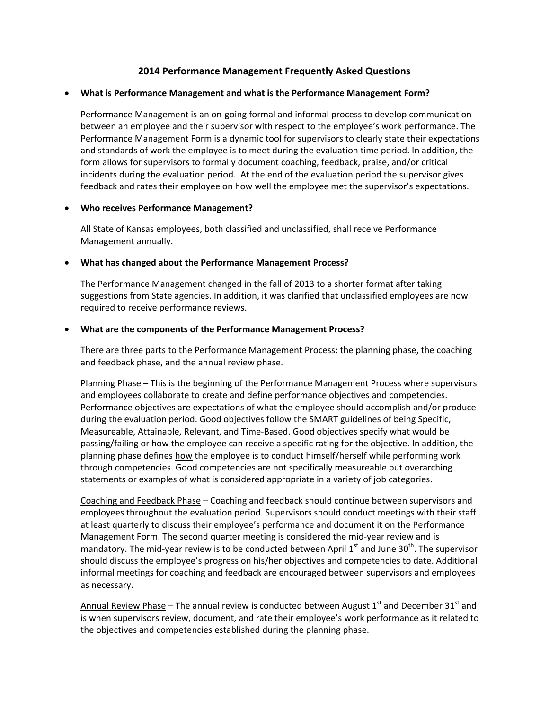# **2014 Performance Management Frequently Asked Questions**

#### **What is Performance Management and what is the Performance Management Form?**

Performance Management is an on‐going formal and informal process to develop communication between an employee and their supervisor with respect to the employee's work performance. The Performance Management Form is a dynamic tool for supervisors to clearly state their expectations and standards of work the employee is to meet during the evaluation time period. In addition, the form allows for supervisors to formally document coaching, feedback, praise, and/or critical incidents during the evaluation period. At the end of the evaluation period the supervisor gives feedback and rates their employee on how well the employee met the supervisor's expectations.

#### **Who receives Performance Management?**

All State of Kansas employees, both classified and unclassified, shall receive Performance Management annually.

#### **What has changed about the Performance Management Process?**

The Performance Management changed in the fall of 2013 to a shorter format after taking suggestions from State agencies. In addition, it was clarified that unclassified employees are now required to receive performance reviews.

#### **What are the components of the Performance Management Process?**

There are three parts to the Performance Management Process: the planning phase, the coaching and feedback phase, and the annual review phase.

Planning Phase – This is the beginning of the Performance Management Process where supervisors and employees collaborate to create and define performance objectives and competencies. Performance objectives are expectations of what the employee should accomplish and/or produce during the evaluation period. Good objectives follow the SMART guidelines of being Specific, Measureable, Attainable, Relevant, and Time‐Based. Good objectives specify what would be passing/failing or how the employee can receive a specific rating for the objective. In addition, the planning phase defines how the employee is to conduct himself/herself while performing work through competencies. Good competencies are not specifically measureable but overarching statements or examples of what is considered appropriate in a variety of job categories.

Coaching and Feedback Phase – Coaching and feedback should continue between supervisors and employees throughout the evaluation period. Supervisors should conduct meetings with their staff at least quarterly to discuss their employee's performance and document it on the Performance Management Form. The second quarter meeting is considered the mid‐year review and is mandatory. The mid-year review is to be conducted between April  $1<sup>st</sup>$  and June 30<sup>th</sup>. The supervisor should discuss the employee's progress on his/her objectives and competencies to date. Additional informal meetings for coaching and feedback are encouraged between supervisors and employees as necessary.

Annual Review Phase – The annual review is conducted between August  $1<sup>st</sup>$  and December 31 $<sup>st</sup>$  and</sup> is when supervisors review, document, and rate their employee's work performance as it related to the objectives and competencies established during the planning phase.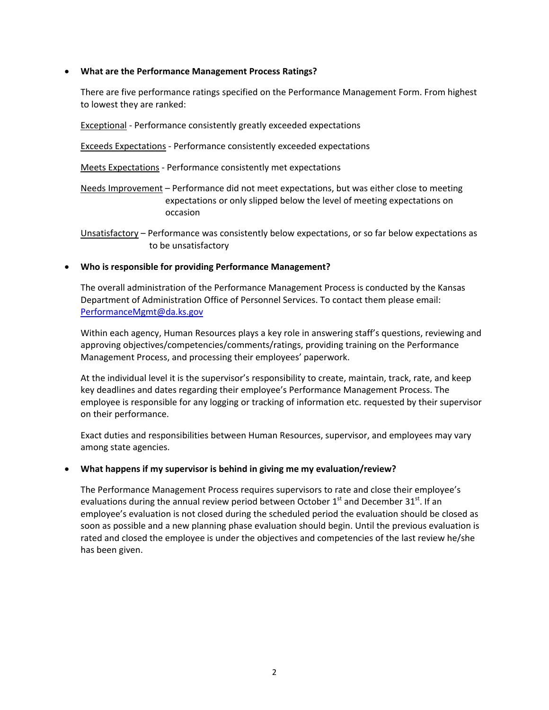## **What are the Performance Management Process Ratings?**

There are five performance ratings specified on the Performance Management Form. From highest to lowest they are ranked:

Exceptional ‐ Performance consistently greatly exceeded expectations

Exceeds Expectations ‐ Performance consistently exceeded expectations

Meets Expectations ‐ Performance consistently met expectations

Needs Improvement – Performance did not meet expectations, but was either close to meeting expectations or only slipped below the level of meeting expectations on occasion

Unsatisfactory – Performance was consistently below expectations, or so far below expectations as to be unsatisfactory

#### **Who is responsible for providing Performance Management?**

The overall administration of the Performance Management Process is conducted by the Kansas Department of Administration Office of Personnel Services. To contact them please email: PerformanceMgmt@da.ks.gov

Within each agency, Human Resources plays a key role in answering staff's questions, reviewing and approving objectives/competencies/comments/ratings, providing training on the Performance Management Process, and processing their employees' paperwork.

At the individual level it is the supervisor's responsibility to create, maintain, track, rate, and keep key deadlines and dates regarding their employee's Performance Management Process. The employee is responsible for any logging or tracking of information etc. requested by their supervisor on their performance.

Exact duties and responsibilities between Human Resources, supervisor, and employees may vary among state agencies.

## **What happens if my supervisor is behind in giving me my evaluation/review?**

The Performance Management Process requires supervisors to rate and close their employee's evaluations during the annual review period between October  $1<sup>st</sup>$  and December 31 $<sup>st</sup>$ . If an</sup> employee's evaluation is not closed during the scheduled period the evaluation should be closed as soon as possible and a new planning phase evaluation should begin. Until the previous evaluation is rated and closed the employee is under the objectives and competencies of the last review he/she has been given.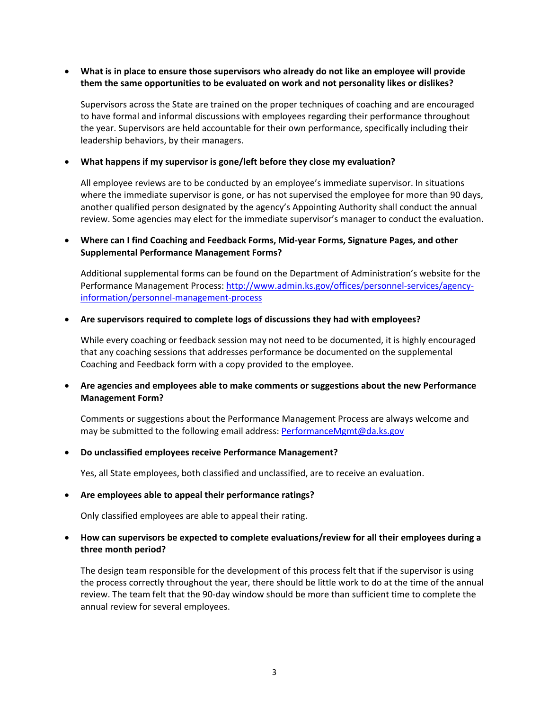## **What is in place to ensure those supervisors who already do not like an employee will provide them the same opportunities to be evaluated on work and not personality likes or dislikes?**

Supervisors across the State are trained on the proper techniques of coaching and are encouraged to have formal and informal discussions with employees regarding their performance throughout the year. Supervisors are held accountable for their own performance, specifically including their leadership behaviors, by their managers.

### **What happens if my supervisor is gone/left before they close my evaluation?**

All employee reviews are to be conducted by an employee's immediate supervisor. In situations where the immediate supervisor is gone, or has not supervised the employee for more than 90 days, another qualified person designated by the agency's Appointing Authority shall conduct the annual review. Some agencies may elect for the immediate supervisor's manager to conduct the evaluation.

## **Where can I find Coaching and Feedback Forms, Mid‐year Forms, Signature Pages, and other Supplemental Performance Management Forms?**

Additional supplemental forms can be found on the Department of Administration's website for the Performance Management Process: http://www.admin.ks.gov/offices/personnel-services/agencyinformation/personnel‐management‐process

#### **Are supervisors required to complete logs of discussions they had with employees?**

While every coaching or feedback session may not need to be documented, it is highly encouraged that any coaching sessions that addresses performance be documented on the supplemental Coaching and Feedback form with a copy provided to the employee.

## **Are agencies and employees able to make comments or suggestions about the new Performance Management Form?**

Comments or suggestions about the Performance Management Process are always welcome and may be submitted to the following email address: PerformanceMgmt@da.ks.gov

#### **Do unclassified employees receive Performance Management?**

Yes, all State employees, both classified and unclassified, are to receive an evaluation.

## **Are employees able to appeal their performance ratings?**

Only classified employees are able to appeal their rating.

## **How can supervisors be expected to complete evaluations/review for all their employees during a three month period?**

The design team responsible for the development of this process felt that if the supervisor is using the process correctly throughout the year, there should be little work to do at the time of the annual review. The team felt that the 90‐day window should be more than sufficient time to complete the annual review for several employees.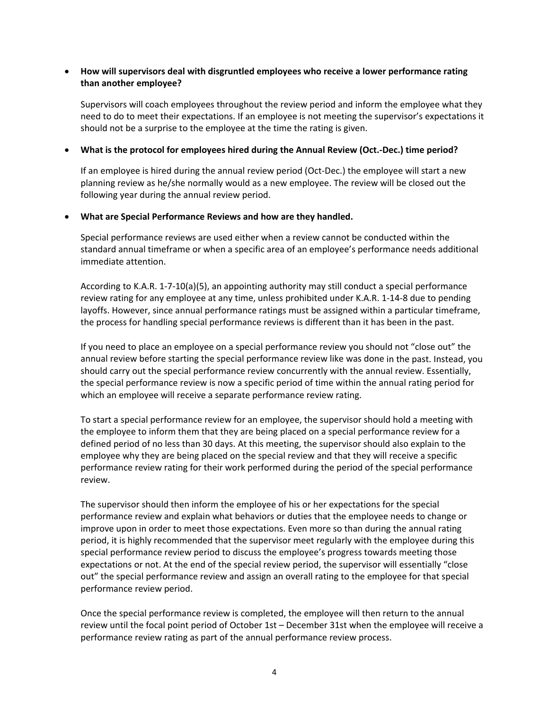# **How will supervisors deal with disgruntled employees who receive a lower performance rating than another employee?**

Supervisors will coach employees throughout the review period and inform the employee what they need to do to meet their expectations. If an employee is not meeting the supervisor's expectations it should not be a surprise to the employee at the time the rating is given.

### **What is the protocol for employees hired during the Annual Review (Oct.‐Dec.) time period?**

If an employee is hired during the annual review period (Oct‐Dec.) the employee will start a new planning review as he/she normally would as a new employee. The review will be closed out the following year during the annual review period.

#### **What are Special Performance Reviews and how are they handled.**

Special performance reviews are used either when a review cannot be conducted within the standard annual timeframe or when a specific area of an employee's performance needs additional immediate attention.

According to K.A.R. 1‐7‐10(a)(5), an appointing authority may still conduct a special performance review rating for any employee at any time, unless prohibited under K.A.R. 1‐14‐8 due to pending layoffs. However, since annual performance ratings must be assigned within a particular timeframe, the process for handling special performance reviews is different than it has been in the past.

If you need to place an employee on a special performance review you should not "close out" the annual review before starting the special performance review like was done in the past. Instead, you should carry out the special performance review concurrently with the annual review. Essentially, the special performance review is now a specific period of time within the annual rating period for which an employee will receive a separate performance review rating.

To start a special performance review for an employee, the supervisor should hold a meeting with the employee to inform them that they are being placed on a special performance review for a defined period of no less than 30 days. At this meeting, the supervisor should also explain to the employee why they are being placed on the special review and that they will receive a specific performance review rating for their work performed during the period of the special performance review.

The supervisor should then inform the employee of his or her expectations for the special performance review and explain what behaviors or duties that the employee needs to change or improve upon in order to meet those expectations. Even more so than during the annual rating period, it is highly recommended that the supervisor meet regularly with the employee during this special performance review period to discuss the employee's progress towards meeting those expectations or not. At the end of the special review period, the supervisor will essentially "close out" the special performance review and assign an overall rating to the employee for that special performance review period.

Once the special performance review is completed, the employee will then return to the annual review until the focal point period of October 1st – December 31st when the employee will receive a performance review rating as part of the annual performance review process.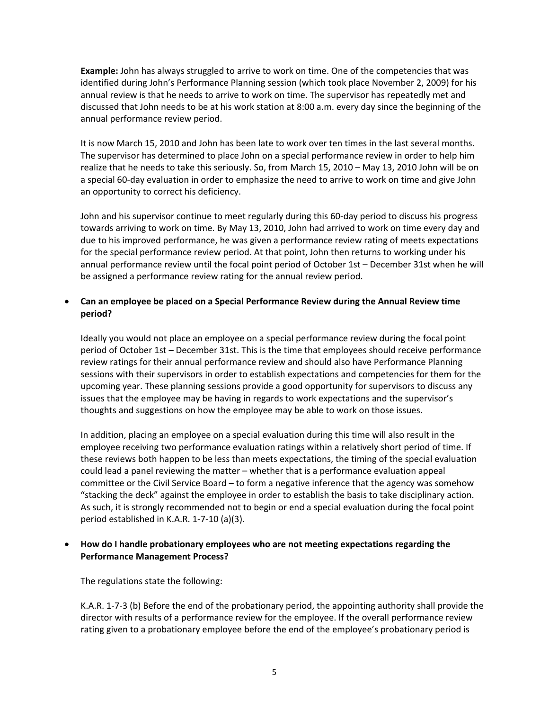**Example:** John has always struggled to arrive to work on time. One of the competencies that was identified during John's Performance Planning session (which took place November 2, 2009) for his annual review is that he needs to arrive to work on time. The supervisor has repeatedly met and discussed that John needs to be at his work station at 8:00 a.m. every day since the beginning of the annual performance review period.

It is now March 15, 2010 and John has been late to work over ten times in the last several months. The supervisor has determined to place John on a special performance review in order to help him realize that he needs to take this seriously. So, from March 15, 2010 – May 13, 2010 John will be on a special 60‐day evaluation in order to emphasize the need to arrive to work on time and give John an opportunity to correct his deficiency.

John and his supervisor continue to meet regularly during this 60‐day period to discuss his progress towards arriving to work on time. By May 13, 2010, John had arrived to work on time every day and due to his improved performance, he was given a performance review rating of meets expectations for the special performance review period. At that point, John then returns to working under his annual performance review until the focal point period of October 1st – December 31st when he will be assigned a performance review rating for the annual review period.

# **Can an employee be placed on a Special Performance Review during the Annual Review time period?**

Ideally you would not place an employee on a special performance review during the focal point period of October 1st – December 31st. This is the time that employees should receive performance review ratings for their annual performance review and should also have Performance Planning sessions with their supervisors in order to establish expectations and competencies for them for the upcoming year. These planning sessions provide a good opportunity for supervisors to discuss any issues that the employee may be having in regards to work expectations and the supervisor's thoughts and suggestions on how the employee may be able to work on those issues.

In addition, placing an employee on a special evaluation during this time will also result in the employee receiving two performance evaluation ratings within a relatively short period of time. If these reviews both happen to be less than meets expectations, the timing of the special evaluation could lead a panel reviewing the matter – whether that is a performance evaluation appeal committee or the Civil Service Board – to form a negative inference that the agency was somehow "stacking the deck" against the employee in order to establish the basis to take disciplinary action. As such, it is strongly recommended not to begin or end a special evaluation during the focal point period established in K.A.R. 1‐7‐10 (a)(3).

## **How do I handle probationary employees who are not meeting expectations regarding the Performance Management Process?**

The regulations state the following:

K.A.R. 1‐7‐3 (b) Before the end of the probationary period, the appointing authority shall provide the director with results of a performance review for the employee. If the overall performance review rating given to a probationary employee before the end of the employee's probationary period is